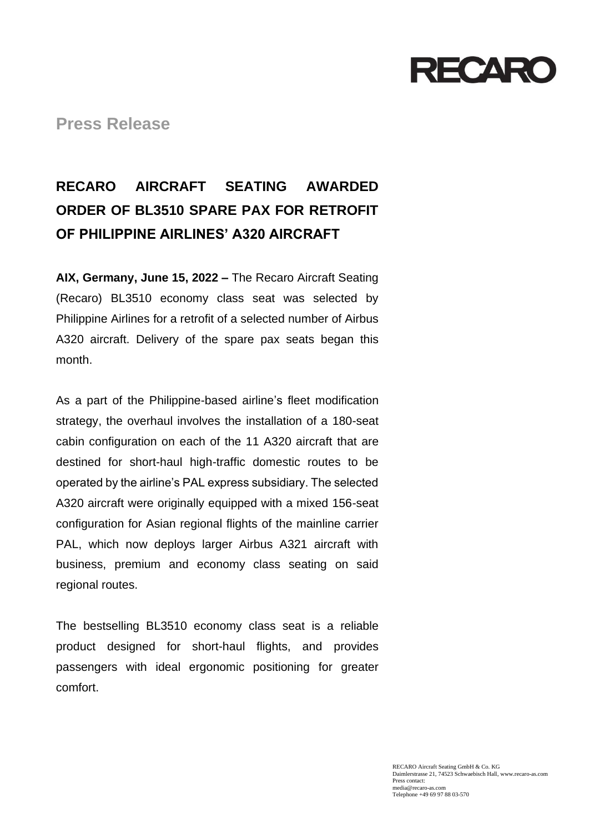

**Press Release**

# **RECARO AIRCRAFT SEATING AWARDED ORDER OF BL3510 SPARE PAX FOR RETROFIT OF PHILIPPINE AIRLINES' A320 AIRCRAFT**

**AIX, Germany, June 15, 2022 –** The Recaro Aircraft Seating (Recaro) BL3510 economy class seat was selected by Philippine Airlines for a retrofit of a selected number of Airbus A320 aircraft. Delivery of the spare pax seats began this month.

As a part of the Philippine-based airline's fleet modification strategy, the overhaul involves the installation of a 180-seat cabin configuration on each of the 11 A320 aircraft that are destined for short-haul high-traffic domestic routes to be operated by the airline's PAL express subsidiary. The selected A320 aircraft were originally equipped with a mixed 156-seat configuration for Asian regional flights of the mainline carrier PAL, which now deploys larger Airbus A321 aircraft with business, premium and economy class seating on said regional routes.

The bestselling BL3510 economy class seat is a reliable product designed for short-haul flights, and provides passengers with ideal ergonomic positioning for greater comfort.